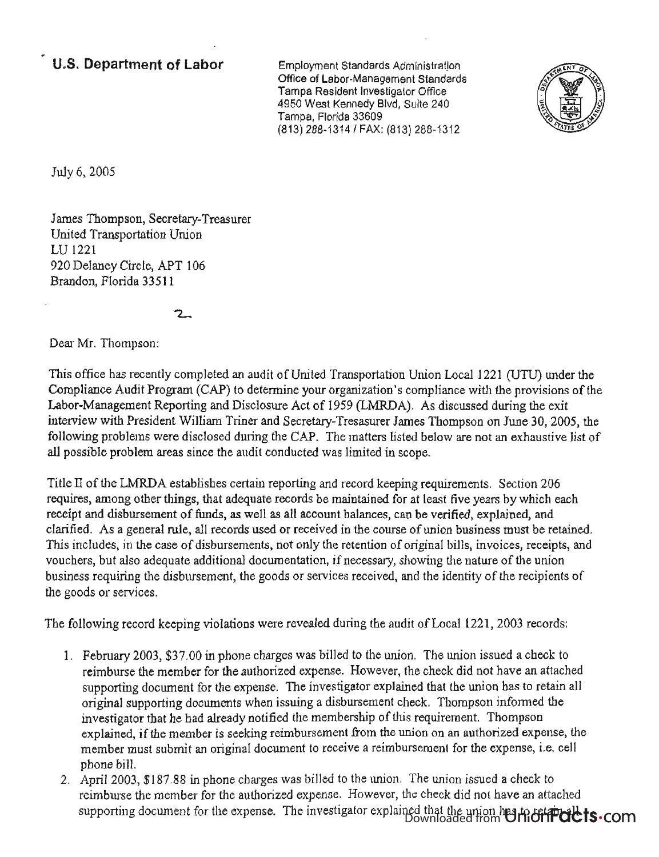## **U.S. Department of Labor**

Employment Standards Administration Office of Labor-Management Standards thee of Labor-Management Standard<br>Amps Desident Investigator Office 4950 West Kennedy Blvd, Suite 240 4950 West Kennedy Blvd, Suite 240<br>Tampa, Florida 33609 (813) 288-1314/ FAX: (813) 288-1312



July 6, 2005

James Thompson, Secretary-Treasurer United Transportation Union LU 1221 920 Delaney Circle, APT 106 Brandon, Florida 33511

## 2.

Dear Mr. Thompson:

This office has recently completed an audit of United Transportation Union Local 1221 (UTU) under the Compliance Audit Program (CAP) to determine your organization's compliance with the provisions of the Labor-Management Reporting and Disclosure Act of 1959 (LMRDA). As discussed during the exit interview with President William Triner and Secretary-Tresasurer James Thompson on June 30, 2005, the following problems were disclosed during the CAP. The matters listed below are not an exhaustive list of all possible problem areas since the audit conducted was limited in scope.

Title II of the LMRDA establishes certain reporting and record keeping requirements. Section 206 requires, among other things, that adequate records be maintained for at least five years by which each receipt and disbursement of funds, as well as all account balances, can be verified, explained, and clarified. As a general rule, all records used or received in the course of union business must be retained. This includes, in the case of disbursements, not only the retention of original bills, invoices, receipts, and vouchers, but also adequate additional documentation, if necessary, showing the nature of the union business requiring the disbursement, the goods or services received, and the identity of the recipients of the goods or services.

The following record keeping violations were revealed during the audit of Local 1221, 2003 records:

- 1. February 2003, \$37.00 in phone charges was billed to the union. The union issued a check to reimburse the member for the authorized expense. However, the check did not have an attached supporting document for the expense. The investigator explained that the union has to retain all original supporting documents when issuing a disbursement check. Thompson informed the investigator that he had already notified the membership of this requirement. Thompson explained, if the member is seeking reimbursement from the union on an authorized expense, the member must submit an original document to receive a reimbursement for the expense, i.e. cell phone bill.
- 2. April 2003, \$187.88 in phone charges was billed to the union. The union issued a check to reimburse the member for the authorized expense. However, the check did not have an attached  $s$  is a document for the expense. The investigator explained that the union has to retain all  $s$ Downloaded from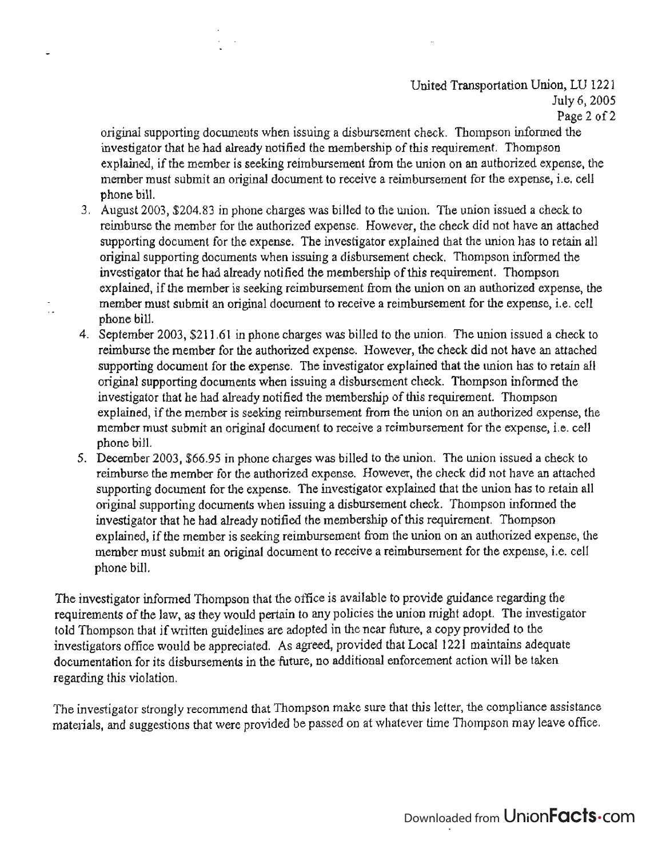## United Transportation Union, LU 1221 July 6, *2005*  Page 2 of 2

original supporting documents when issuing a disbursement check. Thompson informed the investigator that he had already notified the membership of this requirement. Thompson explained, if the member is seeking reimbursement from the union on an authorized expense, the member must submit an original document to receive a reimbursement for the expense, i.e. cell phone bill.

3. August 2003, \$204.83 in phone charges was billed to the union. The union issued a check to reimburse the member for the authorized expense. However, the check did not have an attached supporting document for the expense. The investigator explained that the union has to retain all original supporting documents when issuing a disbursement check. Thompson informed the investigator that he had already notified the membership of this requirement. Thompson explained, if the member is seeking reimbursement from the union on an authorized expense, the member must submit an original document to receive a reimbursement for the expense, i.e. cell phone bill.

- 4. September 2003, \$211.61 in phone charges was billed to the union. The union issued a check to reimburse the member for the authorized expense. However, the check did not have an attached supporting document for the expense. The investigator explained that the union has to retain all original supporting documents when issuing a disbursement check. Thompson informed the investigator that he had already notified the membership of this requirement. Thompson explained, if the member is seeking reimbursement from the union on an authorized expense, the member must submit an original document to receive a reimbursement for the expense, i.e. cell phone bill.
- 5. December 2003, \$66.95 in phone charges was billed to the union. The union issued a check to reimburse the member for the authorized expense. However, the check did not have an attached supporting document for the expense. The investigator explained that the union has to retain all original supporting documents when issuing a disbursement check. Thompson informed the investigator that he had already notified the membership of this requirement. Thompson explained, if the member is seeking reimbursement from the union on an authorized expense, the member must submit an original document to receive a reimbursement for the expense, i.e. cell phone bill.

The investigator informed Thompson that the office is available to provide guidance regarding the requirements of the law, as they would pertain to any policies the union might adopt. The investigator told Thompson that if written guidelines are adopted in the near future, a copy provided to the investigators office would be appreciated. As agreed, provided that Local 1221 maintains adequate documentation for its disbursements in the future, no additional enforcement action will be taken regarding this violation.

The investigator strongly recommend that Thompson make sure that this letter, the compliance assistance materials, and suggestions that were provided be passed on at whatever time Thompson may leave office.